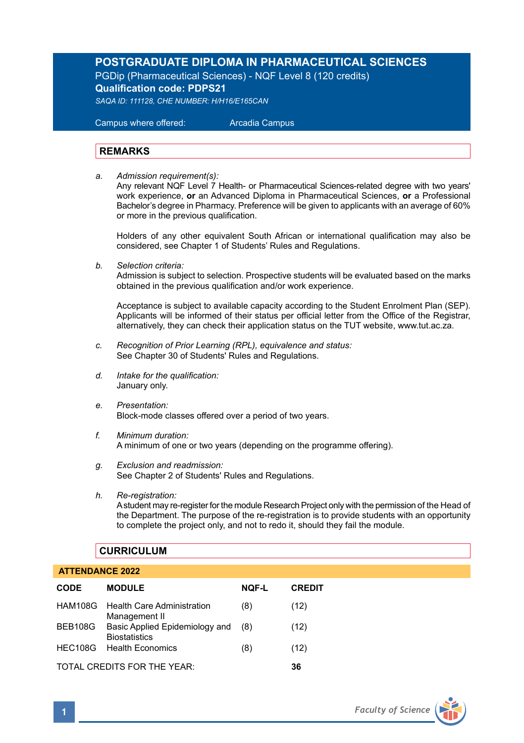# **POSTGRADUATE DIPLOMA IN PHARMACEUTICAL SCIENCES**

PGDip (Pharmaceutical Sciences) - NQF Level 8 (120 credits) **Qualification code: PDPS21**

*SAQA ID: 111128, CHE NUMBER: H/H16/E165CAN* 

 Campus where offered: Arcadia Campus

## **REMARKS**

*a. Admission requirement(s):*  Any relevant NQF Level 7 Health- or Pharmaceutical Sciences-related degree with two years' work experience, **or** an Advanced Diploma in Pharmaceutical Sciences, **or** a Professional Bachelor's degree in Pharmacy. Preference will be given to applicants with an average of 60% or more in the previous qualification.

Holders of any other equivalent South African or international qualification may also be considered, see Chapter 1 of Students' Rules and Regulations.

*b. Selection criteria:*

Admission is subject to selection. Prospective students will be evaluated based on the marks obtained in the previous qualification and/or work experience.

Acceptance is subject to available capacity according to the Student Enrolment Plan (SEP). Applicants will be informed of their status per official letter from the Office of the Registrar, alternatively, they can check their application status on the TUT website, www.tut.ac.za.

- *c. Recognition of Prior Learning (RPL), equivalence and status:* See Chapter 30 of Students' Rules and Regulations.
- *d. Intake for the qualification:* January only.
- *e. Presentation:* Block-mode classes offered over a period of two years.
- *f. Minimum duration:* A minimum of one or two years (depending on the programme offering).
- *g. Exclusion and readmission:* See Chapter 2 of Students' Rules and Regulations.
- *h. Re-registration:* A student may re-register for the module Research Project only with the permission of the Head of the Department. The purpose of the re-registration is to provide students with an opportunity to complete the project only, and not to redo it, should they fail the module.

# **CURRICULUM**

## **ATTENDANCE 2022**

| <b>CODE</b>                 | <b>MODULE</b>                                          | <b>NQF-L</b> | <b>CREDIT</b> |
|-----------------------------|--------------------------------------------------------|--------------|---------------|
|                             | HAM108G Health Care Administration<br>Management II    | (8)          | (12)          |
| BEB108G                     | Basic Applied Epidemiology and<br><b>Biostatistics</b> | (8)          | (12)          |
| <b>HEC108G</b>              | <b>Health Economics</b>                                | (8)          | (12)          |
| TOTAL CREDITS FOR THE YEAR: |                                                        |              |               |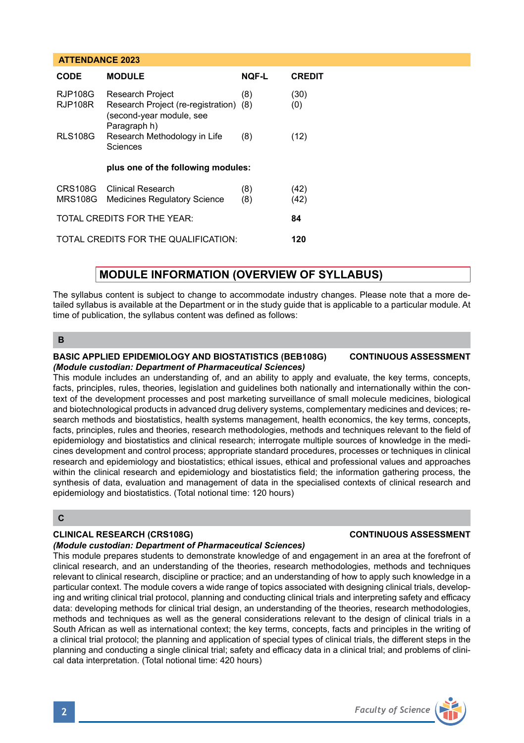### **ATTENDANCE 2023**

| CODE                                 | <b>MODULE</b>                                                                                                 | <b>NOF-L</b> | <b>CREDIT</b> |  |  |
|--------------------------------------|---------------------------------------------------------------------------------------------------------------|--------------|---------------|--|--|
| <b>RJP108G</b><br>RJP108R            | <b>Research Project</b><br>Research Project (re-registration) (8)<br>(second-year module, see<br>Paragraph h) | (8)          | (30)<br>(0)   |  |  |
| <b>RLS108G</b>                       | Research Methodology in Life<br>Sciences                                                                      | (8)          | (12)          |  |  |
| plus one of the following modules:   |                                                                                                               |              |               |  |  |
| CRS108G<br><b>MRS108G</b>            | Clinical Research<br><b>Medicines Regulatory Science</b>                                                      | (8)<br>(8)   | (42)<br>(42)  |  |  |
| TOTAL CREDITS FOR THE YEAR:          | 84                                                                                                            |              |               |  |  |
| TOTAL CREDITS FOR THE QUALIFICATION: | 120                                                                                                           |              |               |  |  |

# **MODULE INFORMATION (OVERVIEW OF SYLLABUS)**

The syllabus content is subject to change to accommodate industry changes. Please note that a more detailed syllabus is available at the Department or in the study guide that is applicable to a particular module. At time of publication, the syllabus content was defined as follows:

## **B**

### **BASIC APPLIED EPIDEMIOLOGY AND BIOSTATISTICS (BEB108G) CONTINUOUS ASSESSMENT** *(Module custodian: Department of Pharmaceutical Sciences)*

This module includes an understanding of, and an ability to apply and evaluate, the key terms, concepts, facts, principles, rules, theories, legislation and guidelines both nationally and internationally within the context of the development processes and post marketing surveillance of small molecule medicines, biological and biotechnological products in advanced drug delivery systems, complementary medicines and devices; research methods and biostatistics, health systems management, health economics, the key terms, concepts, facts, principles, rules and theories, research methodologies, methods and techniques relevant to the field of epidemiology and biostatistics and clinical research; interrogate multiple sources of knowledge in the medicines development and control process; appropriate standard procedures, processes or techniques in clinical research and epidemiology and biostatistics; ethical issues, ethical and professional values and approaches within the clinical research and epidemiology and biostatistics field; the information gathering process, the synthesis of data, evaluation and management of data in the specialised contexts of clinical research and epidemiology and biostatistics. (Total notional time: 120 hours)

### **C**

## **CLINICAL RESEARCH (CRS108G) CONTINUOUS ASSESSMENT**

### *(Module custodian: Department of Pharmaceutical Sciences)*

This module prepares students to demonstrate knowledge of and engagement in an area at the forefront of clinical research, and an understanding of the theories, research methodologies, methods and techniques relevant to clinical research, discipline or practice; and an understanding of how to apply such knowledge in a particular context. The module covers a wide range of topics associated with designing clinical trials, developing and writing clinical trial protocol, planning and conducting clinical trials and interpreting safety and efficacy data: developing methods for clinical trial design, an understanding of the theories, research methodologies, methods and techniques as well as the general considerations relevant to the design of clinical trials in a South African as well as international context; the key terms, concepts, facts and principles in the writing of a clinical trial protocol; the planning and application of special types of clinical trials, the different steps in the planning and conducting a single clinical trial; safety and efficacy data in a clinical trial; and problems of clinical data interpretation. (Total notional time: 420 hours)